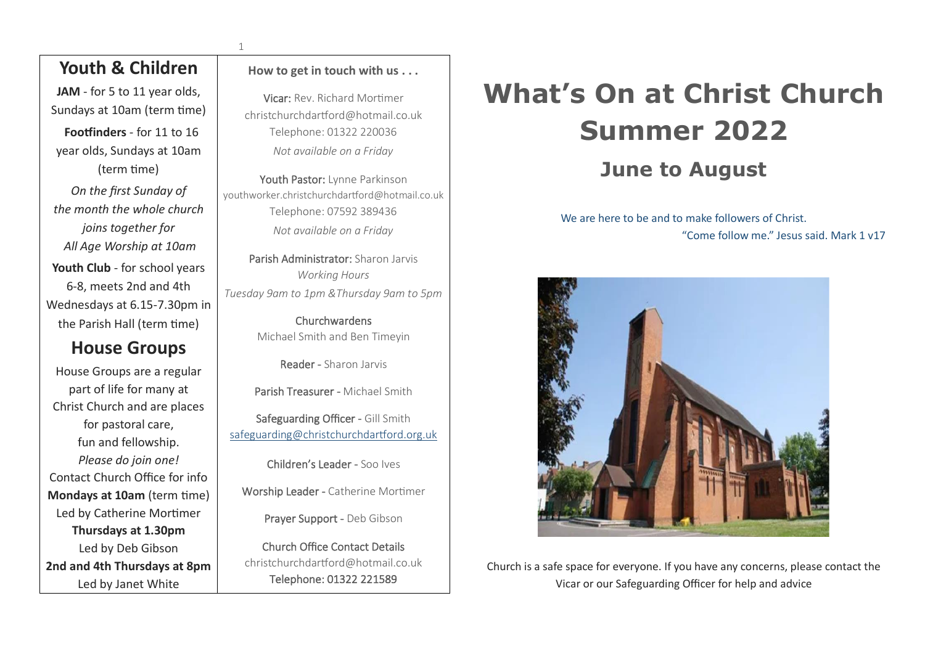## **Youth & Children**

JAM - for 5 to 11 year olds, Sundays at 10am (term time)

**Footfinders** - for 11 to 16 year olds, Sundays at 10am (term time)

*On the first Sunday of the month the whole church joins together for All Age Worship at 10am* Youth Club - for school years 6-8, meets 2nd and 4th Wednesdays at 6.15-7.30pm in the Parish Hall (term time)

# **House Groups**

House Groups are a regular part of life for many at Christ Church and are places for pastoral care, fun and fellowship. *Please do join one!* Contact Church Office for info **Mondays at 10am** (term time) Led by Catherine Mortimer **Thursdays at 1.30pm** Led by Deb Gibson **2nd and 4th Thursdays at 8pm**  Led by Janet White

#### **How to get in touch with us . . .**

1

Vicar: Rev. Richard Mortimer christchurchdartford@hotmail.co.uk Telephone: 01322 220036 *Not available on a Friday*

Youth Pastor: Lynne Parkinson youthworker.christchurchdartford@hotmail.co.uk Telephone: 07592 389436 *Not available on a Friday*

Parish Administrator: Sharon Jarvis *Working Hours Tuesday 9am to 1pm &Thursday 9am to 5pm*

> Churchwardens Michael Smith and Ben Timeyin

> > Reader - Sharon Jarvis

Parish Treasurer - Michael Smith

Safeguarding Officer - Gill Smith [safeguarding@christchurchdartford.org.uk](mailto:safeguarding@christchurchdartford.org.uk)

Children's Leader - Soo Ives

Worship Leader - Catherine Mortimer

Prayer Support - Deb Gibson

Church Office Contact Details christchurchdartford@hotmail.co.uk Telephone: 01322 221589

# **What's On at Christ Church Summer 2022 June to August**

We are here to be and to make followers of Christ.

"Come follow me." Jesus said. Mark 1 v17



Church is a safe space for everyone. If you have any concerns, please contact the Vicar or our Safeguarding Officer for help and advice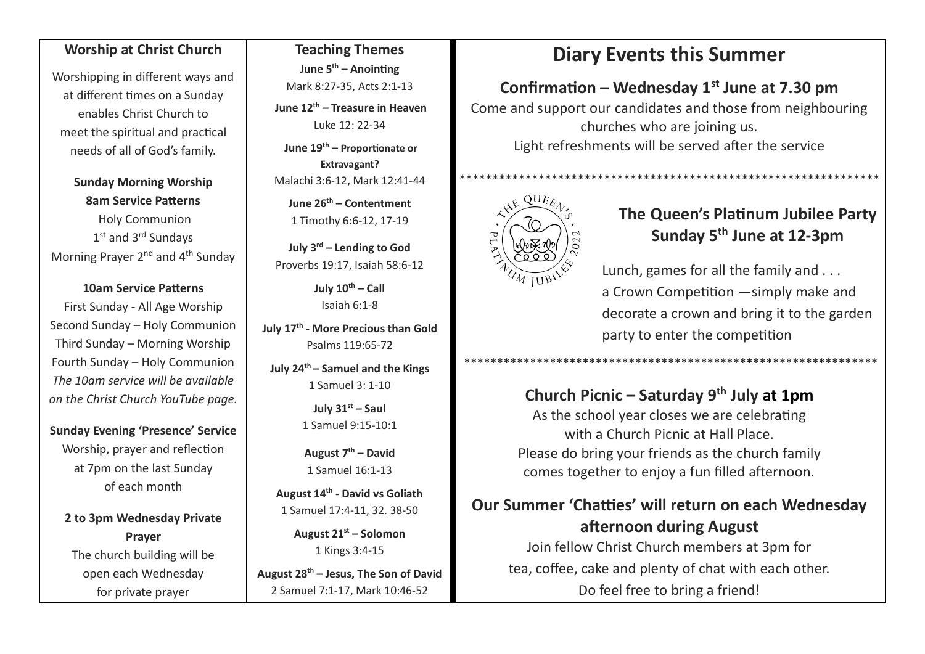### **Worship at Christ Church**

Worshipping in different ways and at different times on a Sunday enables Christ Church to meet the spiritual and practical needs of all of God's family.

**Sunday Morning Worship 8am Service Patterns** Holy Communion 1<sup>st</sup> and 3<sup>rd</sup> Sundays Morning Prayer 2<sup>nd</sup> and 4<sup>th</sup> Sunday

#### **10am Service Patterns**

First Sunday - All Age Worship Second Sunday – Holy Communion Third Sunday – Morning Worship Fourth Sunday – Holy Communion *The 10am service will be available on the Christ Church YouTube page.*

**Sunday Evening 'Presence' Service** Worship, prayer and reflection at 7pm on the last Sunday of each month

**2 to 3pm Wednesday Private Prayer** The church building will be open each Wednesday for private prayer

**Teaching Themes June 5 th – Anointing** Mark 8:27-35, Acts 2:1-13

**June 12 th – Treasure in Heaven** Luke 12: 22-34

**June 19th – Proportionate or Extravagant?** Malachi 3:6-12, Mark 12:41-44

**June 26 th – Contentment** 1 Timothy 6:6-12, 17-19

**July 3 rd – Lending to God** Proverbs 19:17, Isaiah 58:6-12

> **July 10th – Call** Isaiah 6:1-8

**July 17 th - More Precious than Gold** Psalms 119:65-72

**July 24th – Samuel and the Kings** 1 Samuel 3: 1-10

> **July 31st – Saul** 1 Samuel 9:15-10:1

**August 7 th – David** 1 Samuel 16:1-13

**August 14th - David vs Goliath** 1 Samuel 17:4-11, 32. 38-50

> **August 21st – Solomon** 1 Kings 3:4-15

**August 28th – Jesus, The Son of David** 2 Samuel 7:1-17, Mark 10:46-52

# **Diary Events this Summer**

# **Confirmation – Wednesday 1st June at 7.30 pm**

Come and support our candidates and those from neighbouring churches who are joining us. Light refreshments will be served after the service



### **The Queen's Platinum Jubilee Party Sunday 5th June at 12-3pm**

Lunch, games for all the family and . . . a Crown Competition —simply make and decorate a crown and bring it to the garden party to enter the competition

## **Church Picnic – Saturday 9th July at 1pm**

\*\*\*\*\*\*\*\*\*\*\*\*\*\*\*\*\*\*\*\*\*\*\*\*\*\*\*\*\*\*\*\*\*\*\*\*\*\*\*\*\*\*\*\*\*\*\*\*\*\*\*\*\*\*\*\*\*\*\*\*\*\*\*

As the school year closes we are celebrating with a Church Picnic at Hall Place. Please do bring your friends as the church family comes together to enjoy a fun filled afternoon.

# **Our Summer 'Chatties' will return on each Wednesday afternoon during August**

Join fellow Christ Church members at 3pm for tea, coffee, cake and plenty of chat with each other. Do feel free to bring a friend!